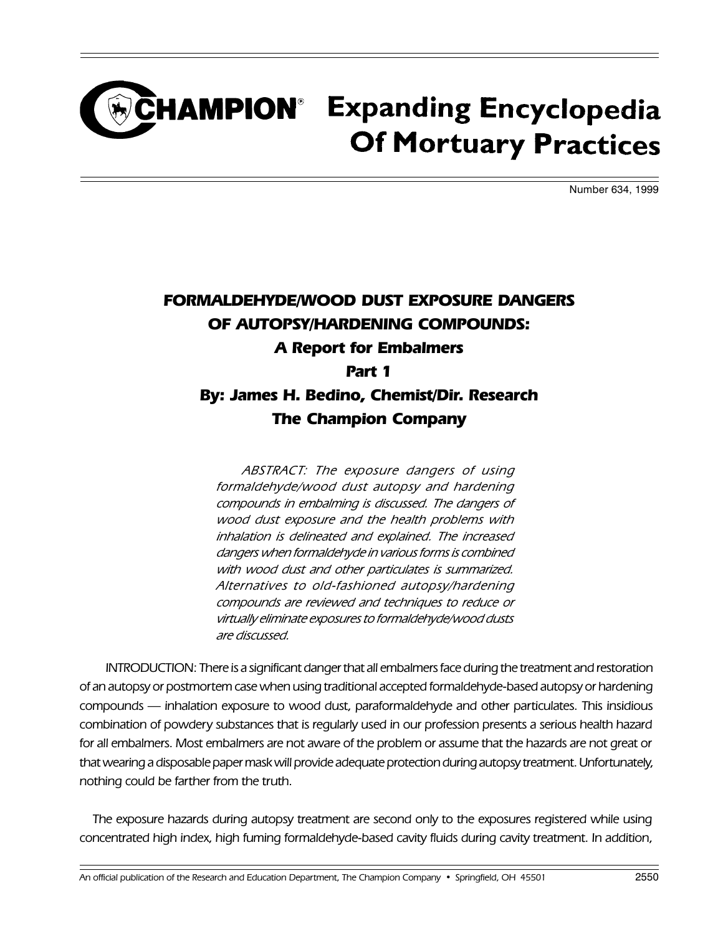## **CHAMPION**<sup>®</sup> Expanding Encyclopedia **Of Mortuary Practices**

Number 634, 1999

### FORMALDEHYDE/WOOD DUST EXPOSURE DANGERS OF AUTOPSY/HARDENING COMPOUNDS: A Report for Embalmers Part 1 By: James H. Bedino, Chemist/Dir. Research The Champion Company

ABSTRACT: The exposure dangers of using formaldehyde/wood dust autopsy and hardening compounds in embalming is discussed. The dangers of wood dust exposure and the health problems with inhalation is delineated and explained. The increased dangers when formaldehyde in various forms is combined with wood dust and other particulates is summarized. Alternatives to old-fashioned autopsy/hardening compounds are reviewed and techniques to reduce or virtually eliminate exposures to formaldehyde/wood dusts are discussed.

INTRODUCTION: There is a significant danger that all embalmers face during the treatment and restoration of an autopsy or postmortem case when using traditional accepted formaldehyde-based autopsy or hardening compounds - inhalation exposure to wood dust, paraformaldehyde and other particulates. This insidious combination of powdery substances that is regularly used in our profession presents a serious health hazard for all embalmers. Most embalmers are not aware of the problem or assume that the hazards are not great or that wearing a disposable paper mask will provide adequate protection during autopsy treatment. Unfortunately, nothing could be farther from the truth.

The exposure hazards during autopsy treatment are second only to the exposures registered while using concentrated high index, high fuming formaldehyde-based cavity fluids during cavity treatment. In addition,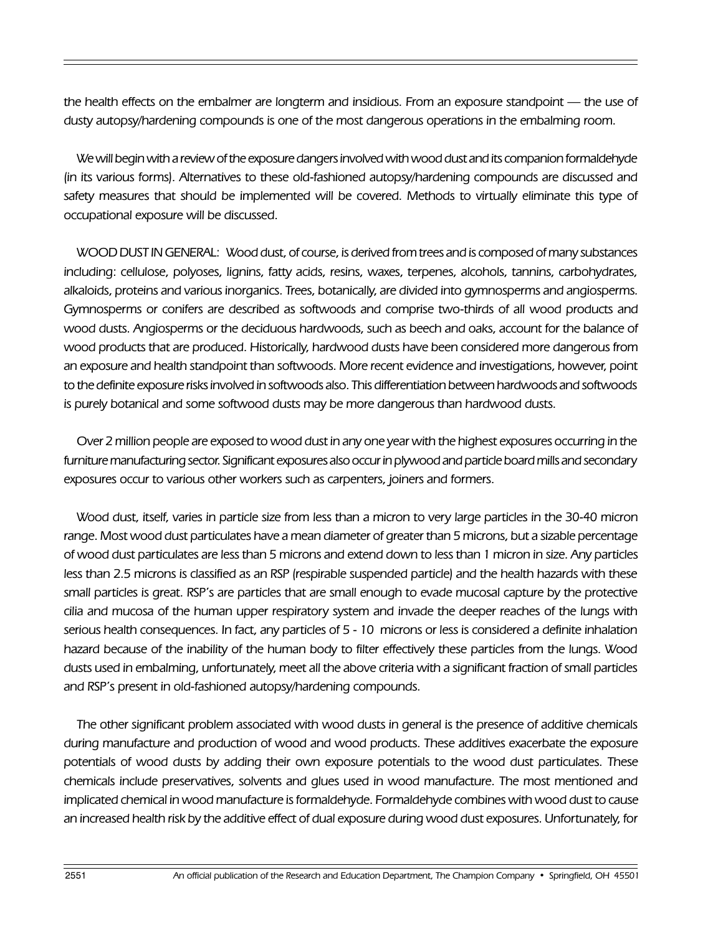the health effects on the embalmer are longterm and insidious. From an exposure standpoint — the use of dusty autopsy/hardening compounds is one of the most dangerous operations in the embalming room.

We will begin with a review of the exposure dangers involved with wood dust and its companion formaldehyde (in its various forms). Alternatives to these old-fashioned autopsy/hardening compounds are discussed and safety measures that should be implemented will be covered. Methods to virtually eliminate this type of occupational exposure will be discussed.

WOOD DUST IN GENERAL: Wood dust, of course, is derived from trees and is composed of many substances including: cellulose, polyoses, lignins, fatty acids, resins, waxes, terpenes, alcohols, tannins, carbohydrates, alkaloids, proteins and various inorganics. Trees, botanically, are divided into gymnosperms and angiosperms. Gymnosperms or conifers are described as softwoods and comprise two-thirds of all wood products and wood dusts. Angiosperms or the deciduous hardwoods, such as beech and oaks, account for the balance of wood products that are produced. Historically, hardwood dusts have been considered more dangerous from an exposure and health standpoint than softwoods. More recent evidence and investigations, however, point to the definite exposure risks involved in softwoods also. This differentiation between hardwoods and softwoods is purely botanical and some softwood dusts may be more dangerous than hardwood dusts.

Over 2 million people are exposed to wood dust in any one year with the highest exposures occurring in the furniture manufacturing sector. Significant exposures also occur in plywood and particle board mills and secondary exposures occur to various other workers such as carpenters, joiners and formers.

Wood dust, itself, varies in particle size from less than a micron to very large particles in the 30-40 micron range. Most wood dust particulates have a mean diameter of greater than 5 microns, but a sizable percentage of wood dust particulates are less than 5 microns and extend down to less than 1 micron in size. Any particles less than 2.5 microns is classified as an RSP (respirable suspended particle) and the health hazards with these small particles is great. RSP's are particles that are small enough to evade mucosal capture by the protective cilia and mucosa of the human upper respiratory system and invade the deeper reaches of the lungs with serious health consequences. In fact, any particles of 5 - 10 microns or less is considered a definite inhalation hazard because of the inability of the human body to filter effectively these particles from the lungs. Wood dusts used in embalming, unfortunately, meet all the above criteria with a significant fraction of small particles and RSP's present in old-fashioned autopsy/hardening compounds.

The other significant problem associated with wood dusts in general is the presence of additive chemicals during manufacture and production of wood and wood products. These additives exacerbate the exposure potentials of wood dusts by adding their own exposure potentials to the wood dust particulates. These chemicals include preservatives, solvents and glues used in wood manufacture. The most mentioned and implicated chemical in wood manufacture is formaldehyde. Formaldehyde combines with wood dust to cause an increased health risk by the additive effect of dual exposure during wood dust exposures. Unfortunately, for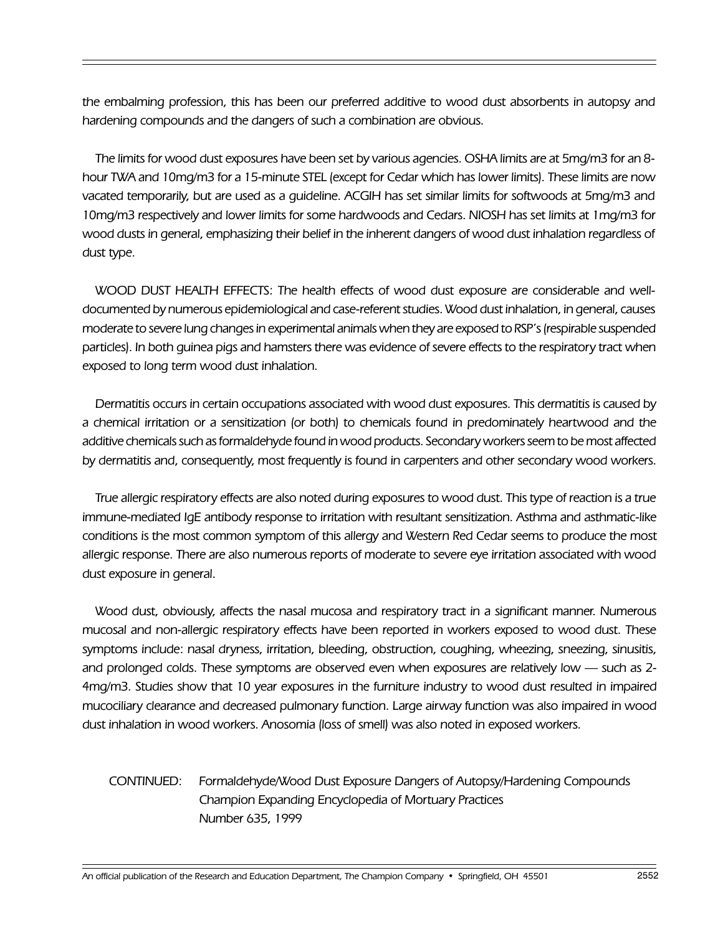the embalming profession, this has been our preferred additive to wood dust absorbents in autopsy and hardening compounds and the dangers of such a combination are obvious.

The limits for wood dust exposures have been set by various agencies. OSHA limits are at 5mg/m3 for an 8 hour TWA and 10mg/m3 for a 15-minute STEL (except for Cedar which has lower limits). These limits are now vacated temporarily, but are used as a guideline. ACGIH has set similar limits for softwoods at 5mg/m3 and 10mg/m3 respectively and lower limits for some hardwoods and Cedars. NIOSH has set limits at 1mg/m3 for wood dusts in general, emphasizing their belief in the inherent dangers of wood dust inhalation regardless of dust type.

WOOD DUST HEALTH EFFECTS: The health effects of wood dust exposure are considerable and welldocumented by numerous epidemiological and case-referent studies. Wood dust inhalation, in general, causes moderate to severe lung changes in experimental animals when they are exposed to RSP's (respirable suspended particles). In both guinea pigs and hamsters there was evidence of severe effects to the respiratory tract when exposed to long term wood dust inhalation.

Dermatitis occurs in certain occupations associated with wood dust exposures. This dermatitis is caused by a chemical irritation or a sensitization (or both) to chemicals found in predominately heartwood and the additive chemicals such as formaldehyde found in wood products. Secondary workers seem to be most affected by dermatitis and, consequently, most frequently is found in carpenters and other secondary wood workers.

True allergic respiratory effects are also noted during exposures to wood dust. This type of reaction is a true immune-mediated IgE antibody response to irritation with resultant sensitization. Asthma and asthmatic-like conditions is the most common symptom of this allergy and Western Red Cedar seems to produce the most allergic response. There are also numerous reports of moderate to severe eye irritation associated with wood dust exposure in general.

Wood dust, obviously, affects the nasal mucosa and respiratory tract in a significant manner. Numerous mucosal and non-allergic respiratory effects have been reported in workers exposed to wood dust. These symptoms include: nasal dryness, irritation, bleeding, obstruction, coughing, wheezing, sneezing, sinusitis, and prolonged colds. These symptoms are observed even when exposures are relatively low - such as 2-4mg/m3. Studies show that 10 year exposures in the furniture industry to wood dust resulted in impaired mucociliary clearance and decreased pulmonary function. Large airway function was also impaired in wood dust inhalation in wood workers. Anosomia (loss of smell) was also noted in exposed workers.

### CONTINUED: Formaldehyde/Wood Dust Exposure Dangers of Autopsy/Hardening Compounds Champion Expanding Encyclopedia of Mortuary Practices Number 635, 1999